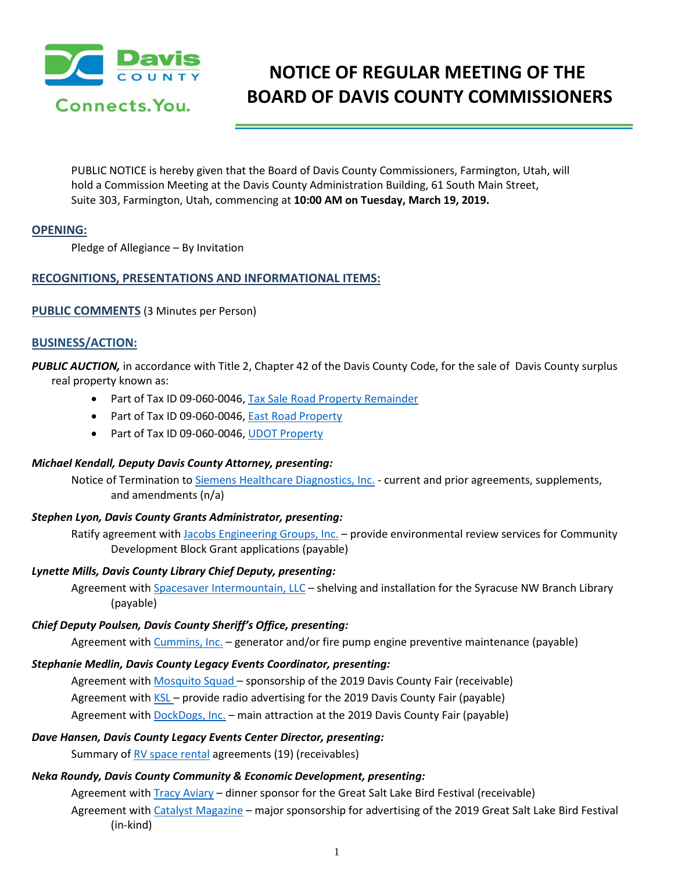

# **NOTICE OF REGULAR MEETING OF THE BOARD OF DAVIS COUNTY COMMISSIONERS**

PUBLIC NOTICE is hereby given that the Board of Davis County Commissioners, Farmington, Utah, will hold a Commission Meeting at the Davis County Administration Building, 61 South Main Street, Suite 303, Farmington, Utah, commencing at **10:00 AM on Tuesday, March 19, 2019.**

#### **OPENING:**

Pledge of Allegiance – By Invitation

#### **RECOGNITIONS, PRESENTATIONS AND INFORMATIONAL ITEMS:**

#### **PUBLIC COMMENTS** (3 Minutes per Person)

#### **BUSINESS/ACTION:**

*PUBLIC AUCTION,* in accordance with Title 2, Chapter 42 of the Davis County Code, for the sale of Davis County surplus real property known as:

- Part of Tax ID 09-060-0046, Tax Sale Road Property Remainder
- Part of Tax ID 09-060-0046, East Road Property
- Part of Tax ID 09-060-0046, UDOT Property

#### *Michael Kendall, Deputy Davis County Attorney, presenting:*

Notice of Termination to Siemens Healthcare Diagnostics, Inc. - current and prior agreements, supplements, and amendments (n/a)

#### *Stephen Lyon, Davis County Grants Administrator, presenting:*

Ratify agreement with Jacobs Engineering Groups, Inc. – provide environmental review services for Community Development Block Grant applications (payable)

#### *Lynette Mills, Davis County Library Chief Deputy, presenting:*

Agreement with Spacesaver Intermountain, LLC – shelving and installation for the Syracuse NW Branch Library (payable)

#### *Chief Deputy Poulsen, Davis County Sheriff's Office, presenting:*

Agreement with Cummins, Inc. - generator and/or fire pump engine preventive maintenance (payable)

#### *Stephanie Medlin, Davis County Legacy Events Coordinator, presenting:*

Agreement with Mosquito Squad – sponsorship of the 2019 Davis County Fair (receivable) Agreement with KSL – provide radio advertising for the 2019 Davis County Fair (payable) Agreement with **DockDogs, Inc.** - main attraction at the 2019 Davis County Fair (payable)

#### *Dave Hansen, Davis County Legacy Events Center Director, presenting:*

Summary of RV space rental agreements (19) (receivables)

## *Neka Roundy, Davis County Community & Economic Development, presenting:*

Agreement with **Tracy Aviary - dinner sponsor for the Great Salt Lake Bird Festival (receivable)** Agreement with Catalyst Magazine – major sponsorship for advertising of the 2019 Great Salt Lake Bird Festival (in-kind)